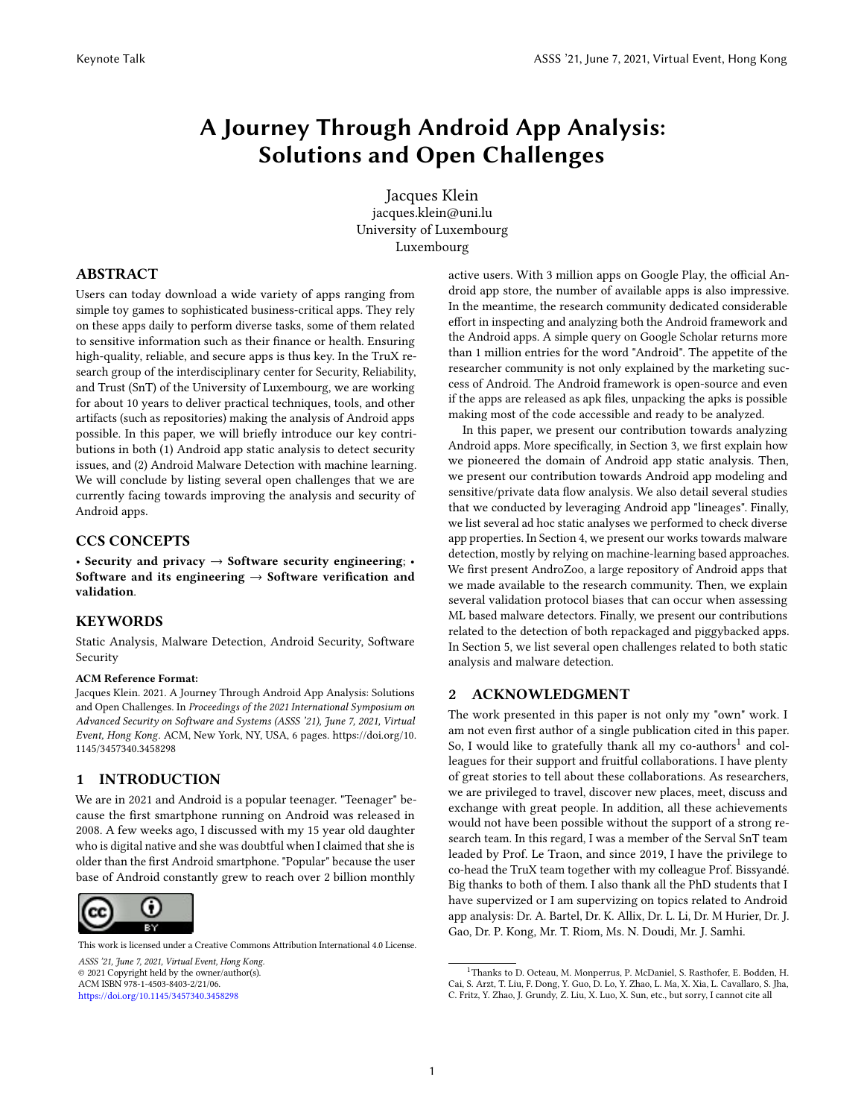# A Journey Through Android App Analysis: Solutions and Open Challenges

Jacques Klein jacques.klein@uni.lu University of Luxembourg Luxembourg

#### ABSTRACT

Users can today download a wide variety of apps ranging from simple toy games to sophisticated business-critical apps. They rely on these apps daily to perform diverse tasks, some of them related to sensitive information such as their finance or health. Ensuring high-quality, reliable, and secure apps is thus key. In the TruX research group of the interdisciplinary center for Security, Reliability, and Trust (SnT) of the University of Luxembourg, we are working for about 10 years to deliver practical techniques, tools, and other artifacts (such as repositories) making the analysis of Android apps possible. In this paper, we will briefly introduce our key contributions in both (1) Android app static analysis to detect security issues, and (2) Android Malware Detection with machine learning. We will conclude by listing several open challenges that we are currently facing towards improving the analysis and security of Android apps.

#### CCS CONCEPTS

• Security and privacy  $\rightarrow$  Software security engineering; Software and its engineering  $\rightarrow$  Software verification and validation.

#### **KEYWORDS**

Static Analysis, Malware Detection, Android Security, Software Security

#### ACM Reference Format:

Jacques Klein. 2021. A Journey Through Android App Analysis: Solutions and Open Challenges. In Proceedings of the 2021 International Symposium on Advanced Security on Software and Systems (ASSS '21), June 7, 2021, Virtual Event, Hong Kong. ACM, New York, NY, USA, [6](#page-5-0) pages. [https://doi.org/10.](https://doi.org/10.1145/3457340.3458298) [1145/3457340.3458298](https://doi.org/10.1145/3457340.3458298)

#### 1 INTRODUCTION

We are in 2021 and Android is a popular teenager. "Teenager" because the first smartphone running on Android was released in 2008. A few weeks ago, I discussed with my 15 year old daughter who is digital native and she was doubtful when I claimed that she is older than the first Android smartphone. "Popular" because the user base of Android constantly grew to reach over 2 billion monthly



This work is licensed under a Creative Commons Attribution International 4.0 License.

ASSS '21, June 7, 2021, Virtual Event, Hong Kong *ASSS '21, June 7, 2021, Virtual Event, Hong Kong.* © 2021 Copyright held by the owner/author(s). © 2021 Copyright held by the owner/author(s). ACM ISBN 978-1-4503-8403-2/21/06. ACM ISBN 978-1-4503-8403-2/21/06. <https://doi.org/10.1145/3457340.3458298> https://doi.org/10.1145/3457340.3458298

active users. With 3 million apps on Google Play, the official Android app store, the number of available apps is also impressive. In the meantime, the research community dedicated considerable effort in inspecting and analyzing both the Android framework and the Android apps. A simple query on Google Scholar returns more than 1 million entries for the word "Android". The appetite of the researcher community is not only explained by the marketing success of Android. The Android framework is open-source and even if the apps are released as apk files, unpacking the apks is possible making most of the code accessible and ready to be analyzed.

In this paper, we present our contribution towards analyzing Android apps. More specifically, in Section [3,](#page-1-0) we first explain how we pioneered the domain of Android app static analysis. Then, we present our contribution towards Android app modeling and sensitive/private data flow analysis. We also detail several studies that we conducted by leveraging Android app "lineages". Finally, we list several ad hoc static analyses we performed to check diverse app properties. In Section [4,](#page-3-0) we present our works towards malware detection, mostly by relying on machine-learning based approaches. We first present AndroZoo, a large repository of Android apps that we made available to the research community. Then, we explain several validation protocol biases that can occur when assessing ML based malware detectors. Finally, we present our contributions related to the detection of both repackaged and piggybacked apps. In Section [5,](#page-4-0) we list several open challenges related to both static analysis and malware detection.

#### 2 ACKNOWLEDGMENT

The work presented in this paper is not only my "own" work. I am not even first author of a single publication cited in this paper. So, I would like to gratefully thank all my co-authors<sup>1</sup> and colleagues for their support and fruitful collaborations. I have plenty of great stories to tell about these collaborations. As researchers, we are privileged to travel, discover new places, meet, discuss and exchange with great people. In addition, all these achievements would not have been possible without the support of a strong research team. In this regard, I was a member of the Serval SnT team leaded by Prof. Le Traon, and since 2019, I have the privilege to co-head the TruX team together with my colleague Prof. Bissyandé. Big thanks to both of them. I also thank all the PhD students that I have supervized or I am supervizing on topics related to Android app analysis: Dr. A. Bartel, Dr. K. Allix, Dr. L. Li, Dr. M Hurier, Dr. J. Gao, Dr. P. Kong, Mr. T. Riom, Ms. N. Doudi, Mr. J. Samhi.

<sup>&</sup>lt;sup>1</sup>Thanks to D. Octeau, M. Monperrus, P. McDaniel, S. Rasthofer, E. Bodden, H. Cai, S. Arzt, T. Liu, F. Dong, Y. Guo, D. Lo, Y. Zhao, L. Ma, X. Xia, L. Cavallaro, S. Jha, C. Fritz, Y. Zhao, J. Grundy, Z. Liu, X. Luo, X. Sun, etc., but sorry, I cannot cite all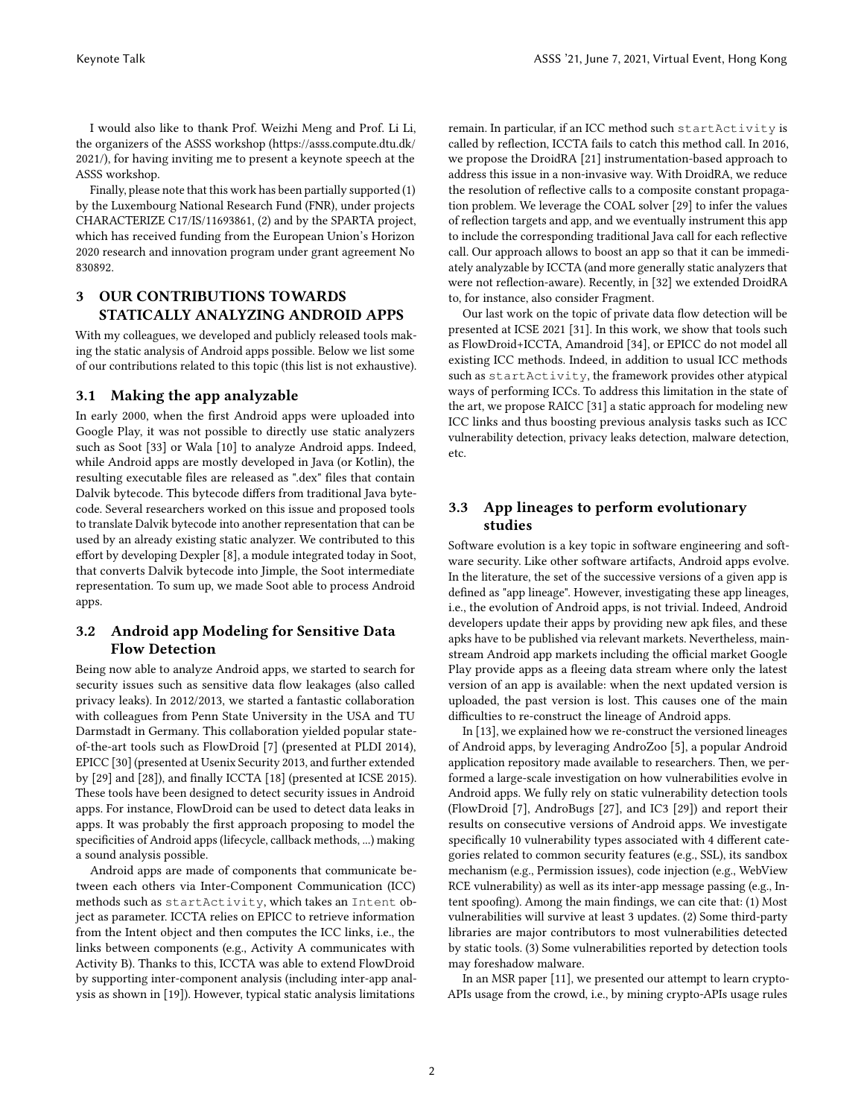I would also like to thank Prof. Weizhi Meng and Prof. Li Li, the organizers of the ASSS workshop [\(https://asss.compute.dtu.dk/](https://asss.compute.dtu.dk/2021/) [2021/\)](https://asss.compute.dtu.dk/2021/), for having inviting me to present a keynote speech at the ASSS workshop.

Finally, please note that this work has been partially supported (1) by the Luxembourg National Research Fund (FNR), under projects CHARACTERIZE C17/IS/11693861, (2) and by the SPARTA project, which has received funding from the European Union's Horizon 2020 research and innovation program under grant agreement No 830892.

# <span id="page-1-0"></span>3 OUR CONTRIBUTIONS TOWARDS STATICALLY ANALYZING ANDROID APPS

With my colleagues, we developed and publicly released tools making the static analysis of Android apps possible. Below we list some of our contributions related to this topic (this list is not exhaustive).

#### 3.1 Making the app analyzable

In early 2000, when the first Android apps were uploaded into Google Play, it was not possible to directly use static analyzers such as Soot [\[33\]](#page-5-1) or Wala [\[10\]](#page-5-2) to analyze Android apps. Indeed, while Android apps are mostly developed in Java (or Kotlin), the resulting executable files are released as ".dex" files that contain Dalvik bytecode. This bytecode differs from traditional Java bytecode. Several researchers worked on this issue and proposed tools to translate Dalvik bytecode into another representation that can be used by an already existing static analyzer. We contributed to this effort by developing Dexpler [\[8\]](#page-5-3), a module integrated today in Soot, that converts Dalvik bytecode into Jimple, the Soot intermediate representation. To sum up, we made Soot able to process Android apps.

#### 3.2 Android app Modeling for Sensitive Data Flow Detection

Being now able to analyze Android apps, we started to search for security issues such as sensitive data flow leakages (also called privacy leaks). In 2012/2013, we started a fantastic collaboration with colleagues from Penn State University in the USA and TU Darmstadt in Germany. This collaboration yielded popular stateof-the-art tools such as FlowDroid [\[7\]](#page-5-4) (presented at PLDI 2014), EPICC [\[30\]](#page-5-5) (presented at Usenix Security 2013, and further extended by [\[29\]](#page-5-6) and [\[28\]](#page-5-7)), and finally ICCTA [\[18\]](#page-5-8) (presented at ICSE 2015). These tools have been designed to detect security issues in Android apps. For instance, FlowDroid can be used to detect data leaks in apps. It was probably the first approach proposing to model the specificities of Android apps (lifecycle, callback methods, ...) making a sound analysis possible.

Android apps are made of components that communicate between each others via Inter-Component Communication (ICC) methods such as startActivity, which takes an Intent object as parameter. ICCTA relies on EPICC to retrieve information from the Intent object and then computes the ICC links, i.e., the links between components (e.g., Activity A communicates with Activity B). Thanks to this, ICCTA was able to extend FlowDroid by supporting inter-component analysis (including inter-app analysis as shown in [\[19\]](#page-5-9)). However, typical static analysis limitations

remain. In particular, if an ICC method such startActivity is called by reflection, ICCTA fails to catch this method call. In 2016, we propose the DroidRA [\[21\]](#page-5-10) instrumentation-based approach to address this issue in a non-invasive way. With DroidRA, we reduce the resolution of reflective calls to a composite constant propagation problem. We leverage the COAL solver [\[29\]](#page-5-6) to infer the values of reflection targets and app, and we eventually instrument this app to include the corresponding traditional Java call for each reflective call. Our approach allows to boost an app so that it can be immediately analyzable by ICCTA (and more generally static analyzers that were not reflection-aware). Recently, in [\[32\]](#page-5-11) we extended DroidRA to, for instance, also consider Fragment.

Our last work on the topic of private data flow detection will be presented at ICSE 2021 [\[31\]](#page-5-12). In this work, we show that tools such as FlowDroid+ICCTA, Amandroid [\[34\]](#page-5-13), or EPICC do not model all existing ICC methods. Indeed, in addition to usual ICC methods such as startActivity, the framework provides other atypical ways of performing ICCs. To address this limitation in the state of the art, we propose RAICC [\[31\]](#page-5-12) a static approach for modeling new ICC links and thus boosting previous analysis tasks such as ICC vulnerability detection, privacy leaks detection, malware detection, etc.

# 3.3 App lineages to perform evolutionary studies

Software evolution is a key topic in software engineering and software security. Like other software artifacts, Android apps evolve. In the literature, the set of the successive versions of a given app is defined as "app lineage". However, investigating these app lineages, i.e., the evolution of Android apps, is not trivial. Indeed, Android developers update their apps by providing new apk files, and these apks have to be published via relevant markets. Nevertheless, mainstream Android app markets including the official market Google Play provide apps as a fleeing data stream where only the latest version of an app is available: when the next updated version is uploaded, the past version is lost. This causes one of the main difficulties to re-construct the lineage of Android apps.

In [\[13\]](#page-5-14), we explained how we re-construct the versioned lineages of Android apps, by leveraging AndroZoo [\[5\]](#page-5-15), a popular Android application repository made available to researchers. Then, we performed a large-scale investigation on how vulnerabilities evolve in Android apps. We fully rely on static vulnerability detection tools (FlowDroid [\[7\]](#page-5-4), AndroBugs [\[27\]](#page-5-16), and IC3 [\[29\]](#page-5-6)) and report their results on consecutive versions of Android apps. We investigate specifically 10 vulnerability types associated with 4 different categories related to common security features (e.g., SSL), its sandbox mechanism (e.g., Permission issues), code injection (e.g., WebView RCE vulnerability) as well as its inter-app message passing (e.g., Intent spoofing). Among the main findings, we can cite that: (1) Most vulnerabilities will survive at least 3 updates. (2) Some third-party libraries are major contributors to most vulnerabilities detected by static tools. (3) Some vulnerabilities reported by detection tools may foreshadow malware.

In an MSR paper [\[11\]](#page-5-17), we presented our attempt to learn crypto-APIs usage from the crowd, i.e., by mining crypto-APIs usage rules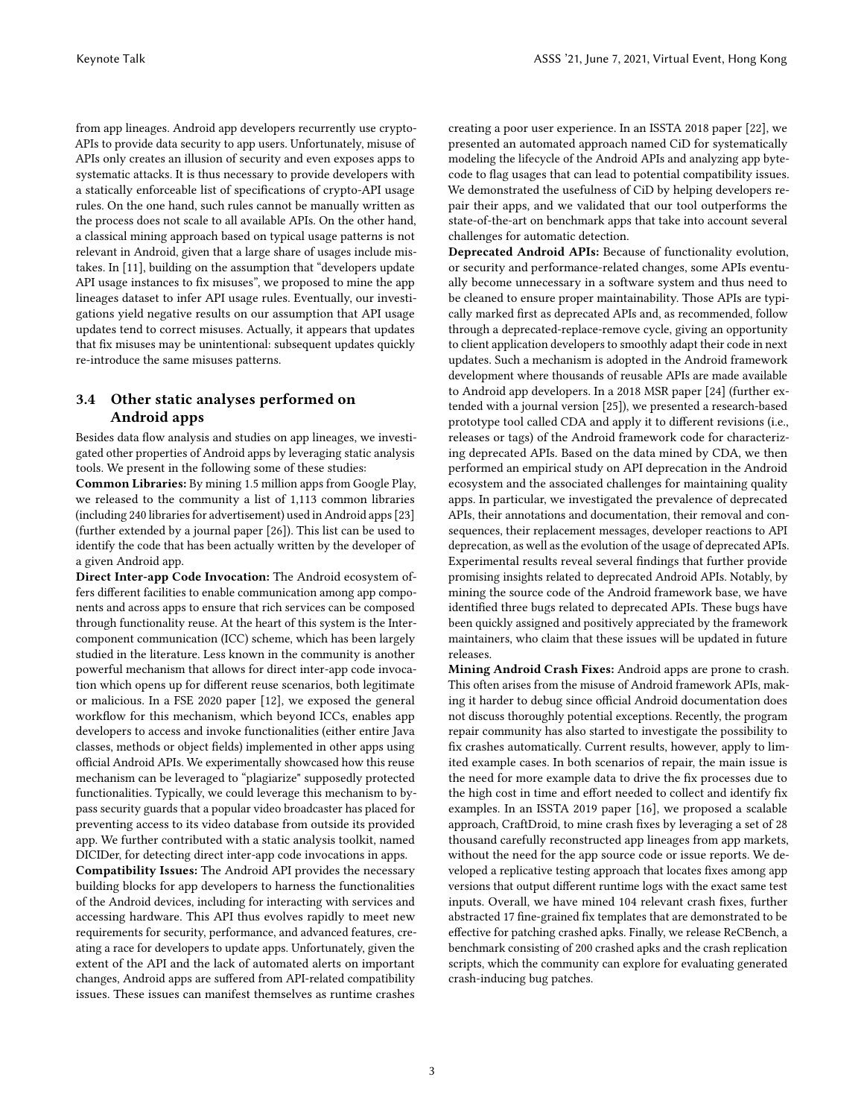from app lineages. Android app developers recurrently use crypto-APIs to provide data security to app users. Unfortunately, misuse of APIs only creates an illusion of security and even exposes apps to systematic attacks. It is thus necessary to provide developers with a statically enforceable list of specifications of crypto-API usage rules. On the one hand, such rules cannot be manually written as the process does not scale to all available APIs. On the other hand, a classical mining approach based on typical usage patterns is not relevant in Android, given that a large share of usages include mistakes. In [\[11\]](#page-5-17), building on the assumption that "developers update API usage instances to fix misuses", we proposed to mine the app lineages dataset to infer API usage rules. Eventually, our investigations yield negative results on our assumption that API usage updates tend to correct misuses. Actually, it appears that updates that fix misuses may be unintentional: subsequent updates quickly re-introduce the same misuses patterns.

# 3.4 Other static analyses performed on Android apps

Besides data flow analysis and studies on app lineages, we investigated other properties of Android apps by leveraging static analysis tools. We present in the following some of these studies:

Common Libraries: By mining 1.5 million apps from Google Play, we released to the community a list of 1,113 common libraries (including 240 libraries for advertisement) used in Android apps [\[23\]](#page-5-18) (further extended by a journal paper [\[26\]](#page-5-19)). This list can be used to identify the code that has been actually written by the developer of a given Android app.

Direct Inter-app Code Invocation: The Android ecosystem offers different facilities to enable communication among app components and across apps to ensure that rich services can be composed through functionality reuse. At the heart of this system is the Intercomponent communication (ICC) scheme, which has been largely studied in the literature. Less known in the community is another powerful mechanism that allows for direct inter-app code invocation which opens up for different reuse scenarios, both legitimate or malicious. In a FSE 2020 paper [\[12\]](#page-5-20), we exposed the general workflow for this mechanism, which beyond ICCs, enables app developers to access and invoke functionalities (either entire Java classes, methods or object fields) implemented in other apps using official Android APIs. We experimentally showcased how this reuse mechanism can be leveraged to "plagiarize" supposedly protected functionalities. Typically, we could leverage this mechanism to bypass security guards that a popular video broadcaster has placed for preventing access to its video database from outside its provided app. We further contributed with a static analysis toolkit, named DICIDer, for detecting direct inter-app code invocations in apps.

Compatibility Issues: The Android API provides the necessary building blocks for app developers to harness the functionalities of the Android devices, including for interacting with services and accessing hardware. This API thus evolves rapidly to meet new requirements for security, performance, and advanced features, creating a race for developers to update apps. Unfortunately, given the extent of the API and the lack of automated alerts on important changes, Android apps are suffered from API-related compatibility issues. These issues can manifest themselves as runtime crashes

creating a poor user experience. In an ISSTA 2018 paper [\[22\]](#page-5-21), we presented an automated approach named CiD for systematically modeling the lifecycle of the Android APIs and analyzing app bytecode to flag usages that can lead to potential compatibility issues. We demonstrated the usefulness of CiD by helping developers repair their apps, and we validated that our tool outperforms the state-of-the-art on benchmark apps that take into account several challenges for automatic detection.

Deprecated Android APIs: Because of functionality evolution, or security and performance-related changes, some APIs eventually become unnecessary in a software system and thus need to be cleaned to ensure proper maintainability. Those APIs are typically marked first as deprecated APIs and, as recommended, follow through a deprecated-replace-remove cycle, giving an opportunity to client application developers to smoothly adapt their code in next updates. Such a mechanism is adopted in the Android framework development where thousands of reusable APIs are made available to Android app developers. In a 2018 MSR paper [\[24\]](#page-5-22) (further extended with a journal version [\[25\]](#page-5-23)), we presented a research-based prototype tool called CDA and apply it to different revisions (i.e., releases or tags) of the Android framework code for characterizing deprecated APIs. Based on the data mined by CDA, we then performed an empirical study on API deprecation in the Android ecosystem and the associated challenges for maintaining quality apps. In particular, we investigated the prevalence of deprecated APIs, their annotations and documentation, their removal and consequences, their replacement messages, developer reactions to API deprecation, as well as the evolution of the usage of deprecated APIs. Experimental results reveal several findings that further provide promising insights related to deprecated Android APIs. Notably, by mining the source code of the Android framework base, we have identified three bugs related to deprecated APIs. These bugs have been quickly assigned and positively appreciated by the framework maintainers, who claim that these issues will be updated in future releases.

Mining Android Crash Fixes: Android apps are prone to crash. This often arises from the misuse of Android framework APIs, making it harder to debug since official Android documentation does not discuss thoroughly potential exceptions. Recently, the program repair community has also started to investigate the possibility to fix crashes automatically. Current results, however, apply to limited example cases. In both scenarios of repair, the main issue is the need for more example data to drive the fix processes due to the high cost in time and effort needed to collect and identify fix examples. In an ISSTA 2019 paper [\[16\]](#page-5-24), we proposed a scalable approach, CraftDroid, to mine crash fixes by leveraging a set of 28 thousand carefully reconstructed app lineages from app markets, without the need for the app source code or issue reports. We developed a replicative testing approach that locates fixes among app versions that output different runtime logs with the exact same test inputs. Overall, we have mined 104 relevant crash fixes, further abstracted 17 fine-grained fix templates that are demonstrated to be effective for patching crashed apks. Finally, we release ReCBench, a benchmark consisting of 200 crashed apks and the crash replication scripts, which the community can explore for evaluating generated crash-inducing bug patches.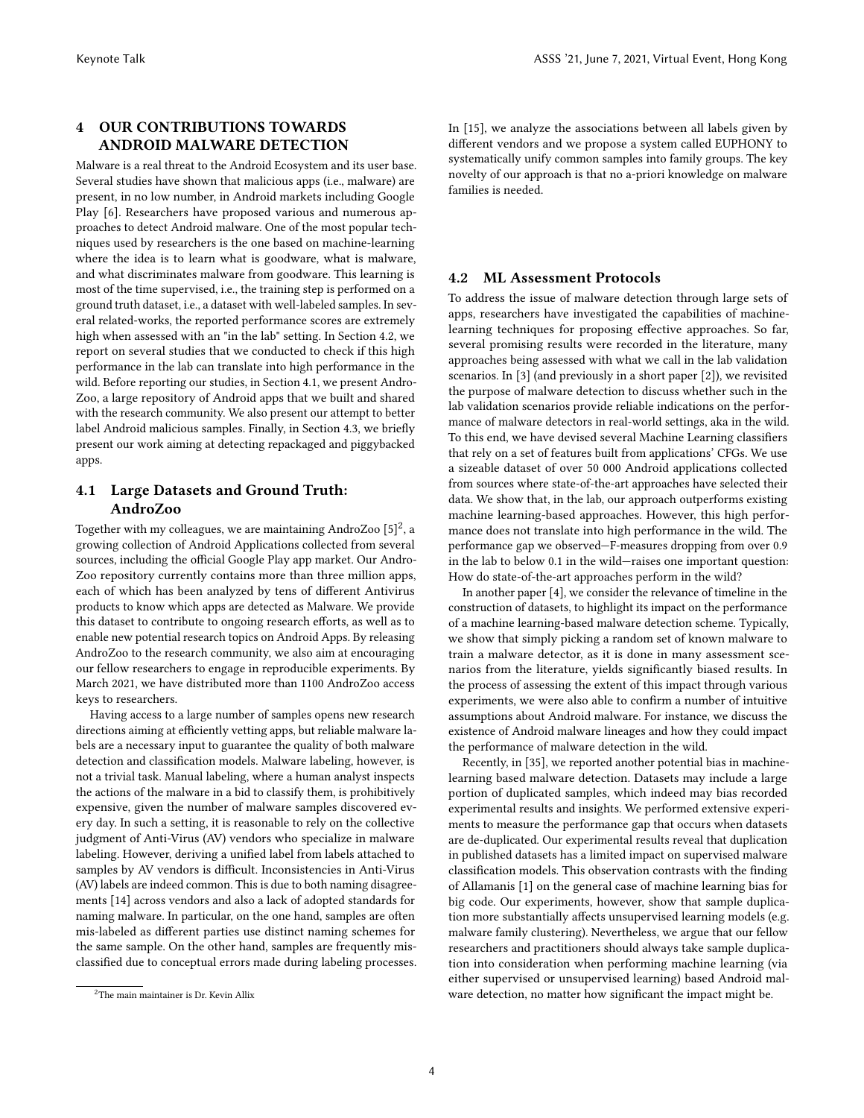# <span id="page-3-0"></span>4 OUR CONTRIBUTIONS TOWARDS ANDROID MALWARE DETECTION

Malware is a real threat to the Android Ecosystem and its user base. Several studies have shown that malicious apps (i.e., malware) are present, in no low number, in Android markets including Google Play [\[6\]](#page-5-25). Researchers have proposed various and numerous approaches to detect Android malware. One of the most popular techniques used by researchers is the one based on machine-learning where the idea is to learn what is goodware, what is malware, and what discriminates malware from goodware. This learning is most of the time supervised, i.e., the training step is performed on a ground truth dataset, i.e., a dataset with well-labeled samples. In several related-works, the reported performance scores are extremely high when assessed with an "in the lab" setting. In Section [4.2,](#page-3-1) we report on several studies that we conducted to check if this high performance in the lab can translate into high performance in the wild. Before reporting our studies, in Section [4.1,](#page-3-2) we present Andro-Zoo, a large repository of Android apps that we built and shared with the research community. We also present our attempt to better label Android malicious samples. Finally, in Section [4.3,](#page-4-1) we briefly present our work aiming at detecting repackaged and piggybacked apps.

# <span id="page-3-2"></span>4.1 Large Datasets and Ground Truth: AndroZoo

Together with my colleagues, we are maintaining AndroZoo  $[5]^2$  $[5]^2$ , a growing collection of Android Applications collected from several sources, including the official Google Play app market. Our Andro-Zoo repository currently contains more than three million apps, each of which has been analyzed by tens of different Antivirus products to know which apps are detected as Malware. We provide this dataset to contribute to ongoing research efforts, as well as to enable new potential research topics on Android Apps. By releasing AndroZoo to the research community, we also aim at encouraging our fellow researchers to engage in reproducible experiments. By March 2021, we have distributed more than 1100 AndroZoo access keys to researchers.

Having access to a large number of samples opens new research directions aiming at efficiently vetting apps, but reliable malware labels are a necessary input to guarantee the quality of both malware detection and classification models. Malware labeling, however, is not a trivial task. Manual labeling, where a human analyst inspects the actions of the malware in a bid to classify them, is prohibitively expensive, given the number of malware samples discovered every day. In such a setting, it is reasonable to rely on the collective judgment of Anti-Virus (AV) vendors who specialize in malware labeling. However, deriving a unified label from labels attached to samples by AV vendors is difficult. Inconsistencies in Anti-Virus (AV) labels are indeed common. This is due to both naming disagreements [\[14\]](#page-5-26) across vendors and also a lack of adopted standards for naming malware. In particular, on the one hand, samples are often mis-labeled as different parties use distinct naming schemes for the same sample. On the other hand, samples are frequently misclassified due to conceptual errors made during labeling processes.

In [\[15\]](#page-5-27), we analyze the associations between all labels given by different vendors and we propose a system called EUPHONY to systematically unify common samples into family groups. The key novelty of our approach is that no a-priori knowledge on malware families is needed.

## <span id="page-3-1"></span>4.2 ML Assessment Protocols

To address the issue of malware detection through large sets of apps, researchers have investigated the capabilities of machinelearning techniques for proposing effective approaches. So far, several promising results were recorded in the literature, many approaches being assessed with what we call in the lab validation scenarios. In [\[3\]](#page-5-28) (and previously in a short paper [\[2\]](#page-5-29)), we revisited the purpose of malware detection to discuss whether such in the lab validation scenarios provide reliable indications on the performance of malware detectors in real-world settings, aka in the wild. To this end, we have devised several Machine Learning classifiers that rely on a set of features built from applications' CFGs. We use a sizeable dataset of over 50 000 Android applications collected from sources where state-of-the-art approaches have selected their data. We show that, in the lab, our approach outperforms existing machine learning-based approaches. However, this high performance does not translate into high performance in the wild. The performance gap we observed—F-measures dropping from over 0.9 in the lab to below 0.1 in the wild—raises one important question: How do state-of-the-art approaches perform in the wild?

In another paper [\[4\]](#page-5-30), we consider the relevance of timeline in the construction of datasets, to highlight its impact on the performance of a machine learning-based malware detection scheme. Typically, we show that simply picking a random set of known malware to train a malware detector, as it is done in many assessment scenarios from the literature, yields significantly biased results. In the process of assessing the extent of this impact through various experiments, we were also able to confirm a number of intuitive assumptions about Android malware. For instance, we discuss the existence of Android malware lineages and how they could impact the performance of malware detection in the wild.

Recently, in [\[35\]](#page-5-31), we reported another potential bias in machinelearning based malware detection. Datasets may include a large portion of duplicated samples, which indeed may bias recorded experimental results and insights. We performed extensive experiments to measure the performance gap that occurs when datasets are de-duplicated. Our experimental results reveal that duplication in published datasets has a limited impact on supervised malware classification models. This observation contrasts with the finding of Allamanis [\[1\]](#page-5-32) on the general case of machine learning bias for big code. Our experiments, however, show that sample duplication more substantially affects unsupervised learning models (e.g. malware family clustering). Nevertheless, we argue that our fellow researchers and practitioners should always take sample duplication into consideration when performing machine learning (via either supervised or unsupervised learning) based Android malware detection, no matter how significant the impact might be.

<sup>2</sup>The main maintainer is Dr. Kevin Allix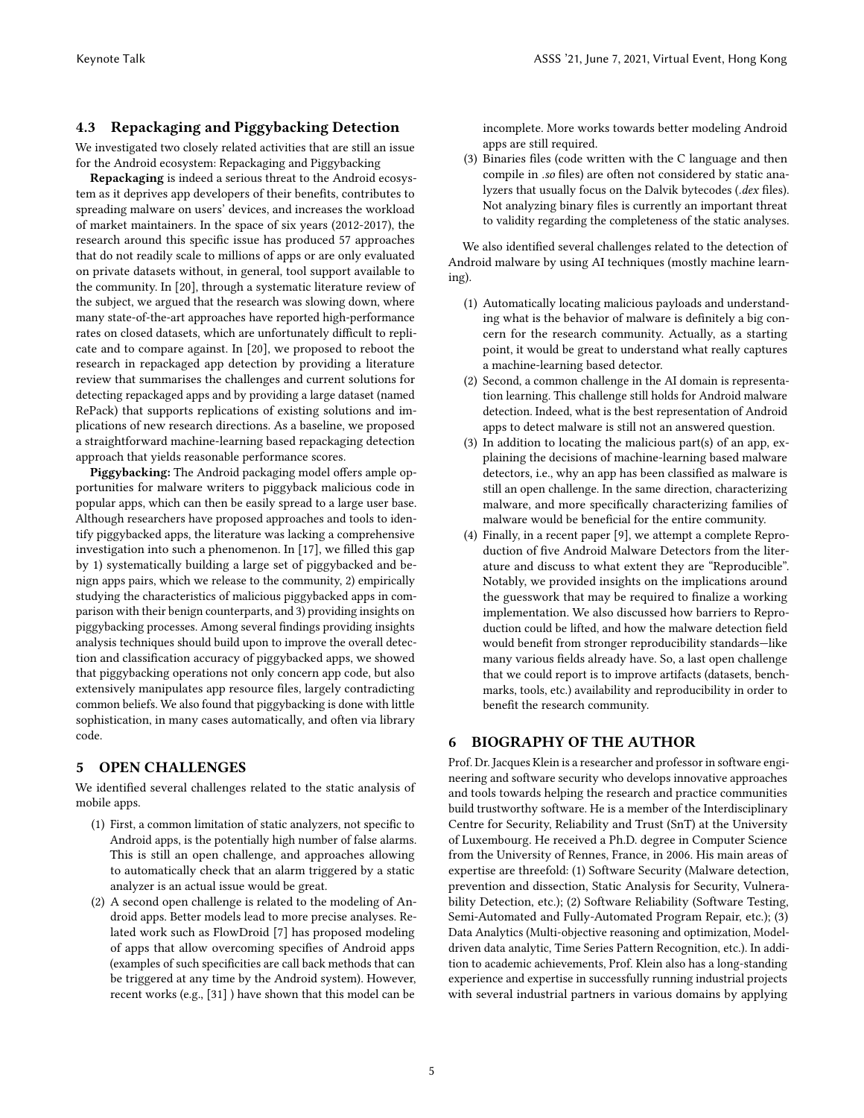### <span id="page-4-1"></span>4.3 Repackaging and Piggybacking Detection

We investigated two closely related activities that are still an issue for the Android ecosystem: Repackaging and Piggybacking

Repackaging is indeed a serious threat to the Android ecosystem as it deprives app developers of their benefits, contributes to spreading malware on users' devices, and increases the workload of market maintainers. In the space of six years (2012-2017), the research around this specific issue has produced 57 approaches that do not readily scale to millions of apps or are only evaluated on private datasets without, in general, tool support available to the community. In [\[20\]](#page-5-33), through a systematic literature review of the subject, we argued that the research was slowing down, where many state-of-the-art approaches have reported high-performance rates on closed datasets, which are unfortunately difficult to replicate and to compare against. In [\[20\]](#page-5-33), we proposed to reboot the research in repackaged app detection by providing a literature review that summarises the challenges and current solutions for detecting repackaged apps and by providing a large dataset (named RePack) that supports replications of existing solutions and implications of new research directions. As a baseline, we proposed a straightforward machine-learning based repackaging detection approach that yields reasonable performance scores.

Piggybacking: The Android packaging model offers ample opportunities for malware writers to piggyback malicious code in popular apps, which can then be easily spread to a large user base. Although researchers have proposed approaches and tools to identify piggybacked apps, the literature was lacking a comprehensive investigation into such a phenomenon. In [\[17\]](#page-5-34), we filled this gap by 1) systematically building a large set of piggybacked and benign apps pairs, which we release to the community, 2) empirically studying the characteristics of malicious piggybacked apps in comparison with their benign counterparts, and 3) providing insights on piggybacking processes. Among several findings providing insights analysis techniques should build upon to improve the overall detection and classification accuracy of piggybacked apps, we showed that piggybacking operations not only concern app code, but also extensively manipulates app resource files, largely contradicting common beliefs. We also found that piggybacking is done with little sophistication, in many cases automatically, and often via library code.

# <span id="page-4-0"></span>5 OPEN CHALLENGES

We identified several challenges related to the static analysis of mobile apps.

- (1) First, a common limitation of static analyzers, not specific to Android apps, is the potentially high number of false alarms. This is still an open challenge, and approaches allowing to automatically check that an alarm triggered by a static analyzer is an actual issue would be great.
- (2) A second open challenge is related to the modeling of Android apps. Better models lead to more precise analyses. Related work such as FlowDroid [\[7\]](#page-5-4) has proposed modeling of apps that allow overcoming specifies of Android apps (examples of such specificities are call back methods that can be triggered at any time by the Android system). However, recent works (e.g., [\[31\]](#page-5-12) ) have shown that this model can be

incomplete. More works towards better modeling Android apps are still required.

(3) Binaries files (code written with the C language and then compile in .so files) are often not considered by static analyzers that usually focus on the Dalvik bytecodes (.dex files). Not analyzing binary files is currently an important threat to validity regarding the completeness of the static analyses.

We also identified several challenges related to the detection of Android malware by using AI techniques (mostly machine learning).

- (1) Automatically locating malicious payloads and understanding what is the behavior of malware is definitely a big concern for the research community. Actually, as a starting point, it would be great to understand what really captures a machine-learning based detector.
- (2) Second, a common challenge in the AI domain is representation learning. This challenge still holds for Android malware detection. Indeed, what is the best representation of Android apps to detect malware is still not an answered question.
- (3) In addition to locating the malicious part(s) of an app, explaining the decisions of machine-learning based malware detectors, i.e., why an app has been classified as malware is still an open challenge. In the same direction, characterizing malware, and more specifically characterizing families of malware would be beneficial for the entire community.
- (4) Finally, in a recent paper [\[9\]](#page-5-35), we attempt a complete Reproduction of five Android Malware Detectors from the literature and discuss to what extent they are "Reproducible". Notably, we provided insights on the implications around the guesswork that may be required to finalize a working implementation. We also discussed how barriers to Reproduction could be lifted, and how the malware detection field would benefit from stronger reproducibility standards—like many various fields already have. So, a last open challenge that we could report is to improve artifacts (datasets, benchmarks, tools, etc.) availability and reproducibility in order to benefit the research community.

# 6 BIOGRAPHY OF THE AUTHOR

Prof. Dr. Jacques Klein is a researcher and professor in software engineering and software security who develops innovative approaches and tools towards helping the research and practice communities build trustworthy software. He is a member of the Interdisciplinary Centre for Security, Reliability and Trust (SnT) at the University of Luxembourg. He received a Ph.D. degree in Computer Science from the University of Rennes, France, in 2006. His main areas of expertise are threefold: (1) Software Security (Malware detection, prevention and dissection, Static Analysis for Security, Vulnerability Detection, etc.); (2) Software Reliability (Software Testing, Semi-Automated and Fully-Automated Program Repair, etc.); (3) Data Analytics (Multi-objective reasoning and optimization, Modeldriven data analytic, Time Series Pattern Recognition, etc.). In addition to academic achievements, Prof. Klein also has a long-standing experience and expertise in successfully running industrial projects with several industrial partners in various domains by applying